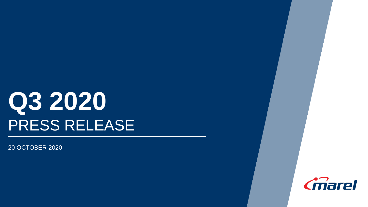# **Q3 2020** PRESS RELEASE

20 OCTOBER 2020

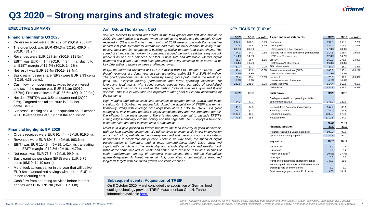

# **Q3 2020 – Strong margins and strategic moves**

#### **EXECUTIVE SUMMARY**

#### **Financial highlights Q3 2020**

- Orders received were EUR 282.5m (3Q19: 285.0m).
- The order book was EUR 434.3m (2Q20: 439.0m, 3Q19: 431.9m).
- Revenues were EUR 287.2m (3Q19: 312.5m).
- EBIT\* was EUR 44.1m (3Q19: 44.3m), translating to an EBIT\* margin of 15.4% (3Q19: 14.2%).
- Net result was EUR 29.4m (3Q19: 33.4m).
- Basic earnings per share (EPS) were EUR 3.93 cents (3Q19: 4.38 cents).
- Cash flow from operating activities before interest and tax in the quarter was EUR 54.1m (3Q19: 47.7m). Free cash flow at EUR 36.6m (3Q19: 29.0m).
- Net debt/EBITDA was 0.5x at quarter end (2Q20: 0.6x). Targeted capital structure is 2-3x net debt/EBITDA.
- Successful closing of TREIF acquisition on 8 October 2020, leverage was at 1.1x post the acquisition.

#### **Financial highlights 9M 2020**

- Orders received were EUR 914.4m (9M19: 919.5m).
- Revenues were EUR 894.5m (9M19: 963.6m).
- EBIT\* was EUR 114.5m (9M19: 141.4m), translating to an EBIT\* margin of 12.8% (9M19: 14.7%).
- Net result was EUR 73.5m (9M19: 99.9m).
- Basic earnings per share (EPS) were EUR 9.75 cents (9M19: 14.19 cents).
- Marel took actions earlier in the year that will deliver EUR 8m in annualized savings with around EUR 4m in non-recurring cost.
- Cash flow from operating activities before interest and tax was EUR 178.7m (9M19: 129.6m).

#### **Arni Oddur Thordarson, CEO**

*"We are pleased to publish our results in the third quarter and first nine months of 2020. We are humble and upbeat when we look at the results and the outlook. Orders received in Q3 and in the first nine months of 2020 were on par with the respective periods last year. Demand for automation and more customer channel flexibility in the poultry, meat and fish segments is building up similar to other food value chains. The speed of change is fast, driven by consumers around the world seeking ready-to-cook products as part of a balanced diet that is both safe and affordable. Marel's digital platforms and global reach with local presence on every continent have proven to be key differentiating factors in these challenging times.*

*In Q3, we delivered revenues of EUR 287 million with EBIT margin of 15.4%. Even though revenues are down year-on-year, we deliver stable EBIT of EUR 44 million. The good operational results are driven by strong gross profit that is the result of a good mix, excellent delivery performance and lower operating expenses. By leveraging local teams with strong remote support from our hubs of specialized experts, we lower costs as well as the carbon footprint with less fly-in and fly-out services. This is a journey that was expected to take years but is now accelerated by the pandemic.*

*High margins and robust cash flow continues to support further growth and value creation. On 8 October, we successfully closed the acquisition of TREIF and remain financially strong with leverage post acquisition at x1.1 EBITDA. TREIF is a great strategic fit, their product portfolio is highly complementary and will strengthen our fullline offering in the meat segment. There is also great potential to cascade TREIF's cutting edge technology into the poultry and fish segments. TREIF enjoys a blue-chip customer base and their installed base is substantial.*

*Marel is in a pole position to further transform the food industry in good partnership with our long-standing customers. We will continue to systemically invest in innovation and infrastructure, well above the industry standard and use acquisitions and strategic partnerships to accelerate our journey. There is no way back, the speed of digital transformation is immense, and a more demand-driven food value chain will significantly contribute to the availability and affordability of safe and healthy food, while at the same time reduce waste and better utilize available resources. In times of such transformation on top of economic uncertainties, there will be fluctuations quarter-by-quarter. At Marel, we remain fully committed to our ambitious mid-, and long-term targets with continued growth and value creation."*

#### **KEY FIGURES** (EUR m)

| 3Q20    | 3Q19   |         | $\triangle$ YoY As per financial statements           | 9M20    | 9M19   | $\Delta$ YoY |
|---------|--------|---------|-------------------------------------------------------|---------|--------|--------------|
| 287.2   | 312.5  | $-8.1%$ | Revenues                                              | 894.5   | 963.6  | $-7.2\%$     |
| 112.5   | 119.5  |         | -5.9% Gross profit                                    | 334.0   | 375.1  | $-11.0%$     |
| 39.2%   | 38.2%  |         | Gross profit as a % of revenues                       | 37.3%   | 38.9%  |              |
| 44.1    | 44.3   |         | -0.5% Adjusted result from operations (Adjusted EBIT) | 114.5   | 141.4  | $-19.0%$     |
| 15.4%   | 14.2%  |         | EBIT* as a % of revenues                              | 12.8%   | 14.7%  |              |
| 55.7    | 56.4   |         | -1.2% EBITDA                                          | 150.2   | 176.6  | $-14.9%$     |
| 19.4%   | 18.0%  |         | EBITDA as a % of revenues                             | 16.8%   | 18.3%  |              |
| (2.7)   | (2.7)  | $0.0\%$ | PPA related costs                                     | (7.9)   | (8.0)  | $-1.3%$      |
| 41.4    | 41.6   |         | -0.5% Result from operations (EBIT)                   | 106.6   | 133.4  | $-20.1%$     |
| 14.4%   | 13.3%  |         | EBIT as a % of revenues                               | 11.9%   | 13.8%  |              |
| 29.4    | 33.4   |         | -12.0% Net result                                     | 73.5    | 99.9   | $-26.4%$     |
| 10.2%   | 10.7%  |         | Net result as a % of revenues                         | 8.2%    | 10.4%  |              |
| 282.5   | 285.0  | $-0.9%$ | <b>Orders Received</b>                                | 914.4   | 919.5  | $-0.6%$      |
|         |        |         | Order Book                                            | 434.3   | 431.9  | $0.6\%$      |
| 3Q20    | 3Q19   |         | Cash flows                                            | 9M20    | 9M19   |              |
|         |        |         | Cash generated from operating activities,             |         |        |              |
| 54.1    | 47.7   |         | before interest & tax                                 | 178.7   | 129.6  |              |
|         |        |         |                                                       |         |        |              |
| 49.8    | 34.6   |         | Net cash from (to) operating activities               | 147.2   | 89.1   |              |
| (15.2)  | (7.2)  |         | Investing activities                                  | (36.0)  | (27.8) |              |
| (108.1) | (11.9) |         | Financing activities                                  | (330.3) | 173.4  |              |
| (73.5)  | 15.5   |         | Net cash flow                                         | (219.1) | 234.7  |              |
|         |        |         |                                                       | 30/09   | 31/12  |              |
|         |        |         | <b>Financial position</b>                             | 2020    | 2019   |              |
|         |        |         |                                                       |         |        |              |
|         |        |         | Net Debt (Including Lease liabilities)                | 100.7   | 97.6   |              |
|         |        |         | Operational working capital <sup>1)</sup>             | 34.3    | 64.0   |              |
|         |        |         | <b>Key ratios</b>                                     | 9M20    | 9M19   |              |
|         |        |         | Current ratio                                         | 1.0     | 1.6    |              |
|         |        |         | Quick ratio                                           | 0.6     | 1.2    |              |
|         |        |         | Return on equity <sup>2)</sup>                        | 10.5%   | 17.7%  |              |
|         |        |         | Leverage $3)$                                         | 0.5     | 0.5    |              |
|         |        |         | Number of outstanding shares (millions)               | 747.9   | 759.9  |              |
|         |        |         | Market capitalization in EUR billion based on         |         |        |              |
|         |        |         | exchange rate at end of period                        | 3.2     | 3.2    |              |
|         |        |         | Basic earnings per share in EUR cents                 | 9.75    | 14.19  |              |

#### **Subsequent events: Acquisition of TREIF**

On 8 October 2020, Marel concluded the acquisition of German food cutting technology provider TREIF Maschinenbau GmbH. Further information available [here.](https://marel.com/articles/marel-agrees-to-acquire-treif-a-german-food-cutting-technology-provider/)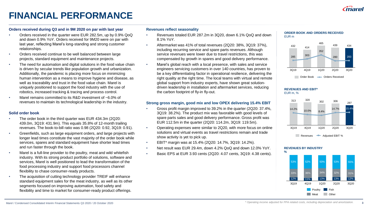

# **FINANCIAL PERFORMANCE**

#### **Orders received during Q3 and in 9M 2020 on par with last year**

- Orders received in the quarter were EUR 282.5m, up by 0.9% QoQ and down 0.9% YoY. Orders received for 9M20 were on par with last year, reflecting Marel's long-standing and strong customer relationships.
- Orders received continue to be well balanced between large projects, standard equipment and maintenance projects.
- The need for automation and digital solutions in the food value chain is driven by secular trends like population growth and urbanization. Additionally, the pandemic is placing more focus on minimizing human intervention as a means to improve hygiene and disease, as well as traceability and trust in the food value chain. Marel is uniquely positioned to support the food industry with the use of robotics, increased tracking & tracing and process control.
- Marel remains committed to its R&D investment of ~6.0% of revenues to maintain its technological leadership in the industry.

#### **Solid order book**

- The order book in the third quarter was EUR 434.3m (2Q20: 439.0m, 3Q19: 431.9m). This equals 35.8% of 12-month trailing revenues. The book-to-bill ratio was 0.98 (2Q20: 0.92, 3Q19: 0.91).
- Greenfields, such as large equipment orders, and large projects with longer lead times constitute the vast majority of the order book while services, spares and standard equipment have shorter lead times and run faster through the book.
- Marel is a full-line provider to the poultry, meat and wild whitefish industry. With its strong product portfolio of solutions, software and services, Marel is well positioned to lead the transformation of the food processing industry and support food processors channel flexibility to chase consumer-ready products.
- The acquisition of cutting technology provider TREIF will enhance standard equipment sales for the meat industry, as well as its other segments focused on improving automation, food safety and flexibility and time to market for consumer-ready product offerings.

#### **Revenues reflect seasonality**

- Revenues totaled EUR 287.2m in 3Q20, down 6.1% QoQ and down 8.1% YoY.
- Aftermarket was 41% of total revenues (2Q20: 38%, 3Q19: 37%), including recurring service and spare parts revenues. Although service revenues were lower due to travel restrictions, this was compensated by growth in spares and good delivery performance.
- Marel's global reach with a local presence, with sales and service engineers servicing customers in over 140 countries, has proven to be a key differentiating factor in operational resilience, delivering the right quality at the right time. The local teams with virtual and remote global support from industry experts, have shown great solutiondriven leadership in installation and aftermarket services, reducing the carbon footprint of fly-in fly-out.

#### **Strong gross margin, good mix and low OPEX delivering 15.4% EBIT**

- Gross profit margin improved to 39.2% in the quarter (2Q20: 37.4%, 3Q19: 38.2%). The product mix was favorable with good levels of spare parts sales and good delivery performance. Gross profit was EUR 112.5m in the quarter (2Q20: 114.2m, 3Q19: 119.5m).
- Operating expenses were similar to 2Q20, with more focus on online solutions and virtual events as travel restrictions remain and trade show activity is yet to pick up.
- EBIT\* margin was at 15.4% (2Q20: 14.7%, 3Q19: 14.2%).
- Net result was EUR 29.4m, down 4.2% QoQ and down 12.0% YoY.
	- Basic EPS at EUR 3.93 cents (2Q20: 4.07 cents, 3Q19: 4.38 cents).



#### **REVENUES AND EBIT\*** EUR m, %



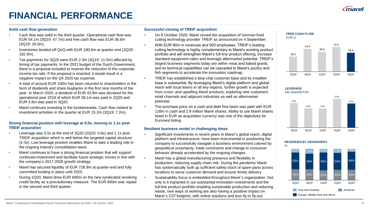

# **FINANCIAL PERFORMANCE**

#### **Solid cash flow generation**

- Cash flow was solid in the third quarter. Operational cash flow was EUR 54.1m (3Q19: 47.7m) and free cash flow was EUR 36.6m (3Q19: 29.0m).
- Inventories leveled off QoQ with EUR 180.6m at quarter-end (2Q20: 182.9m).
- Tax payments for 3Q20 were EUR 2.3m (3Q19: 11.5m) affected by timing of tax payments. In the 2021 budget of the Dutch Government, there is a proposal included to reverse the reduction of the corporate income tax rate. If the proposal is enacted, it would result in a negative impact on the Q4 2020 tax expense.
- A total of around EUR 100m has been returned to shareholders in the form of dividends and share buybacks in the first nine months of the year. In March 2020, a dividend of EUR 43.9m was declared for the operational year 2019 of which EUR 38.1m was paid in 2Q20 and EUR 5.8m was paid in 3Q20.
- Marel continues investing in the fundamentals. Cash flow related to investment activities in the quarter at EUR 15.2m (3Q19: 7.2m).

#### **Strong financial position with leverage at 0.5x, moving to 1.1x post TREIF acquisition**

- Leverage was 0.5x at the end of 3Q20 (2Q20: 0.6x) and 1.1x post TREIF acquisition which is well below the targeted capital structure (2-3x). Low leverage position enables Marel to take a leading role in the ongoing industry consolidation wave.
- Marel continues to have a strong financial position that will support continued investment and facilitate future strategic moves in line with the company´s 2017-2026 growth strategy.
- Marel has secured liquidity of EUR 728.9m at quarter-end and fully committed funding in place until 2025.
- During 1Q20, Marel drew EUR 600m on the new syndicated revolving credit facility as a precautionary measure. The EUR 600m was repaid in the second and third quarter.

#### **Successful closing of TREIF acquisition**

- On 8 October 2020, Marel closed the acquisition of German food cutting technology provider TREIF as announced on 4 September.
- With EUR 80m in revenues and 500 employees, TREIF's leading cutting technology is highly complementary to Marel's existing product portfolio and will strengthen Marel's full-line product offering, increase standard equipment sales and leverage aftermarket potential. TREIF's largest business segments today are within meat and baked goods, and its technical capabilities can be cascaded to Marel's poultry and fish segments to accelerate the innovation roadmap.
- TREIF has established a blue-chip customer base and its installed base is substantial. By leveraging Marel's digital platform and global reach with local teams in all key regions, further growth is expected from cross- and upselling Marel products, exploring new customers retail channels and adjacent industries as well as aftermarket potential.
- The purchase price on a cash and debt free basis was paid with EUR 128m in cash and 2.9 million Marel shares. Ability to use Marel shares listed in EUR as acquisition currency was one of the objectives for Euronext listing.

#### **Resilient business model in challenging times**

- Significant investments in recent years in Marel´s global reach, digital platform and infrastructure, have been instrumental in positioning the company to successfully navigate a business environment colored by geopolitical uncertainty, trade constraints and change in consumer behavior already accelerated by the ongoing changes.
- Marel has a global manufacturing presence and flexibility in production, reducing supply chain risk. During the pandemic Marel has systematically built up sufficient safety stock of spare parts across locations to serve customer demand and ensure timely delivery.
- Sustainability focus is embedded throughout Marel´s organization. Not only is it ingrained in our substantial innovation investments and the full-line product portfolio enabling sustainable production and reducing waste, new ways of working are also having a postitive impact on Marel's CO<sup>2</sup> footprint, with online solutions and less fly-in fly-out.



#### **LEVERAGE** Net debt/EBITDA



#### **REVENUES BY GEOGRAPHY**

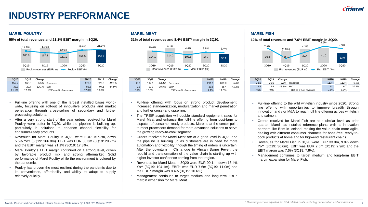## **INDUSTRY PERFORMANCE**

#### **MAREL POULTRY MAREL MEAT MAREL FISH**



| 3Q20  | 3Q19  | Change  |                         | 9M20  | 9M19  | Change    |
|-------|-------|---------|-------------------------|-------|-------|-----------|
| 157.7 | 166.8 | $-5.5%$ | Revenues                | 470.3 | 523.3 | $-10.1\%$ |
| 33.3  | 29.7  | 12.1%   | <b>EBIT</b>             | 83.5  | 97.1  | $-14.0%$  |
| 21.1% | 17.8% |         | EBIT as a % of revenues | 17.8% | 18.6% |           |

- Full-line offering with one of the largest installed bases worldwide, focusing on roll-out of innovative products and market penetration through cross-selling of secondary and further processing solutions.
- After a very strong start of the year orders received for Marel Poultry were softer in 3Q20, while the pipeline is building up, particularly in solutions to enhance channel flexibility for consumer-ready products.
- Revenues for Marel Poultry in 3Q20 were EUR 157.7m, down 5.5% YoY (3Q19: 166.8m). EBIT was EUR 33.3m (3Q19: 29.7m) and the EBIT margin was 21.1% (3Q19: 17.8%).
- Marel Poultry´s EBIT margin continued on a strong level, driven by favorable product mix and strong aftermarket. Solid performance of Marel Poultry while the environment is colored by the pandemic.
- Poultry has proven the most resilient during the pandemic due to its convenience, affordability and ability to adapt to supply relatively quickly.



| 3Q20 | 3Q19  | Change    |                          | 9M20  | 9M19  | Change   |
|------|-------|-----------|--------------------------|-------|-------|----------|
| 90.1 | 104.1 | $-13.4%$  | Revenues                 | 291.1 | 309.0 | $-5.8%$  |
| 7.6  | 11.0  | $-30.9\%$ | <b>EBIT*</b>             | 20.8  | 35.4  | $-41.2%$ |
| 8.4% | 10.6% |           | EBIT* as a % of revenues | 7.1%  | 11.5% |          |

- Full-line offering with focus on strong product development, increased standardization, modularization and market penetration and further cross- and upselling.
- The TREIF acquisition will double standard equipment sales for Marel Meat and enhance the full-line offering from post-farm to dispatch of consumer-ready products. Marel is at the center point to meet processors demand for more advanced solutions to serve the growing ready-to-cook segment.
- Orders received for Marel Meat are at a good level in 3Q20 and the pipeline is building up as customers are in need for more automation and flexibility, though the timing of orders is uncertain. After the downturn in China due to African Swine Fever, the rebuild and transformation of the value chain is starting up with higher investor confidence coming from that region.
- Revenues for Marel Meat in 3Q20 were EUR 90.1m, down 13.4% YoY (3Q19: 104.1m). EBIT\* was EUR 7.6m (3Q19: 11.0m) and the EBIT\* margin was 8.4% (3Q19: 10.6%).
- Management continues to target medium and long-term EBIT\* margin expansion for Marel Meat.



| 3Q20 | <b>3Q19</b> | Change    |                         | 9M20  | 9M <sub>19</sub> | Change |
|------|-------------|-----------|-------------------------|-------|------------------|--------|
| 33.0 | 36.6        | $-9.8%$   | Revenues                | 113.4 | 112.4            | 0.9%   |
| 2.5  | 2.9         | $-13.8\%$ | <b>EBIT</b>             | 8.1   | 6.7              | 20.9%  |
| 7.6% | 7.9%        |           | EBIT as a % of revenues | 7.1%  | $6.0\%$          |        |

- Full-line offering to the wild whitefish industry since 2020. Strong line offering with opportunities to improve breadth through innovation and / or M&A to reach full line offering across whitefish and salmon.
- Orders received for Marel Fish are at a similar level as prior quarter. Marel has installed reference plants with its innovation partners like Brim in Iceland, making the value chain more agile, dealing with different consumer channels for bone-free, ready-tocook products at home and for high-end restaurant chains.
- Revenues for Marel Fish in 3Q20 were EUR 33.0m, 9.8% down YoY (3Q19: 36.6m). EBIT was EUR 2.5m (3Q19: 2.9m) and the EBIT margin was 7.6% (3Q19: 7.9%).
- Management continues to target medium and long-term EBIT margin expansion for Marel Fish.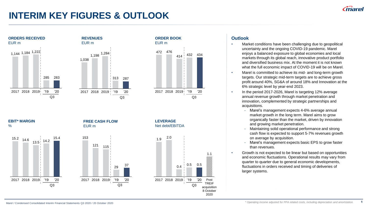**6**

# **INTERIM KEY FIGURES & OUTLOOK**



### **Outlook**

- Market conditions have been challenging due to geopolitical uncertainty and the ongoing COVID-19 pandemic. Marel enjoys a balanced exposure to global economies and local markets through its global reach, innovative product portfolio and diversified business mix. At the moment it is not known what the full economic impact of COVID-19 will be on Marel.
- Marel is committed to achieve its mid- and long-term growth targets. Our strategic mid-term targets are to achieve gross profit around 40%, SG&A of around 18% and Innovation at the 6% strategic level by year-end 2023.
- In the period 2017-2026, Marel is targeting 12% average annual revenue growth through market penetration and innovation, complemented by strategic partnerships and acquisitions.
	- Marel's management expects 4-6% average annual market growth in the long term. Marel aims to grow organically faster than the market, driven by innovation and growing market penetration.
	- Maintaining solid operational performance and strong cash flow is expected to support 5-7% revenues growth on average by acquisition.
	- Marel's management expects basic EPS to grow faster than revenues.
- Growth is not expected to be linear but based on opportunities and economic fluctuations. Operational results may vary from quarter to quarter due to general economic developments, fluctuations in orders received and timing of deliveries of larger systems.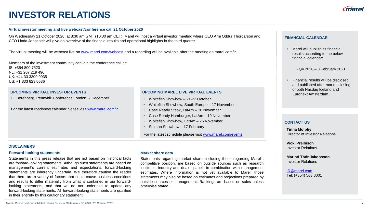### **INVESTOR RELATIONS**

#### **Virtual investor meeting and live webcast/conference call 21 October 2020**

On Wednesday 21 October 2020, at 8:30 am GMT (10:30 am CET), Marel will host a virtual investor meeting where CEO Arni Oddur Thordarson and CFO Linda Jonsdottir will give an overview of the financial results and operational highlights in the third quarter.

The virtual meeting will be webcast live on [www.marel.com/webcast](http://www.marel.com/webcast) and a recording will be available after the meeting on marel.com/ir.

Members of the investment community can join the conference call at: IS: +354 800 7520 NL: +31 207 219 496 UK: +44 33 3300 9035 US: +1 833 823 0586

#### **UPCOMING VIRTUAL INVESTOR EVENTS**

• Berenberg, Pennyhill Conference London, 2 December

For the latest roadshow calendar please visit [www.marel.com/ir](http://www.marel.com/ir)

#### **UPCOMING MAREL LIVE VIRTUAL EVENTS**

- Whitefish Showhow 21-22 October
- Whitefish Showhow, South Europe 17 November
- Case Ready Steak, LatAm 18 November
- Case Ready Hamburger, LatAm 19 November
- Whitefish Showhow, LatAm 25 November
- Salmon Showhow 17 February

For the latest schedule please visit [www.marel.com/events](http://www.marel.com/events)

#### **DISCLAIMERS**

#### **Forward-looking statements**

Statements in this press release that are not based on historical facts are forward-looking statements. Although such statements are based on management's current estimates and expectations, forward-looking statements are inherently uncertain. We therefore caution the reader that there are a variety of factors that could cause business conditions and results to differ materially from what is contained in our forwardlooking statements, and that we do not undertake to update any forward-looking statements. All forward-looking statements are qualified in their entirety by this cautionary statement.

#### **Market share data**

Statements regarding market share, including those regarding Marel's competitive position, are based on outside sources such as research institutes, industry and dealer panels in combination with management estimates. Where information is not yet available to Marel, those statements may also be based on estimates and projections prepared by outside sources or management. Rankings are based on sales unless otherwise stated.

### **FINANCIAL CALENDAR**

• Marel will publish its financial results according to the below financial calendar:

- Q4 2020 – 3 February 2021

• Financial results will be disclosed and published after market closing of both Nasdaq Iceland and Euronext Amsterdam.

#### **CONTACT US**

**Tinna Molphy** Director of Investor Relations

**Vicki Preibisch** Investor Relations

**Marinó Thór Jakobsson** Investor Relations

[IR@marel.com](mailto:IR@marel.com) Tel: (+354) 563 8001